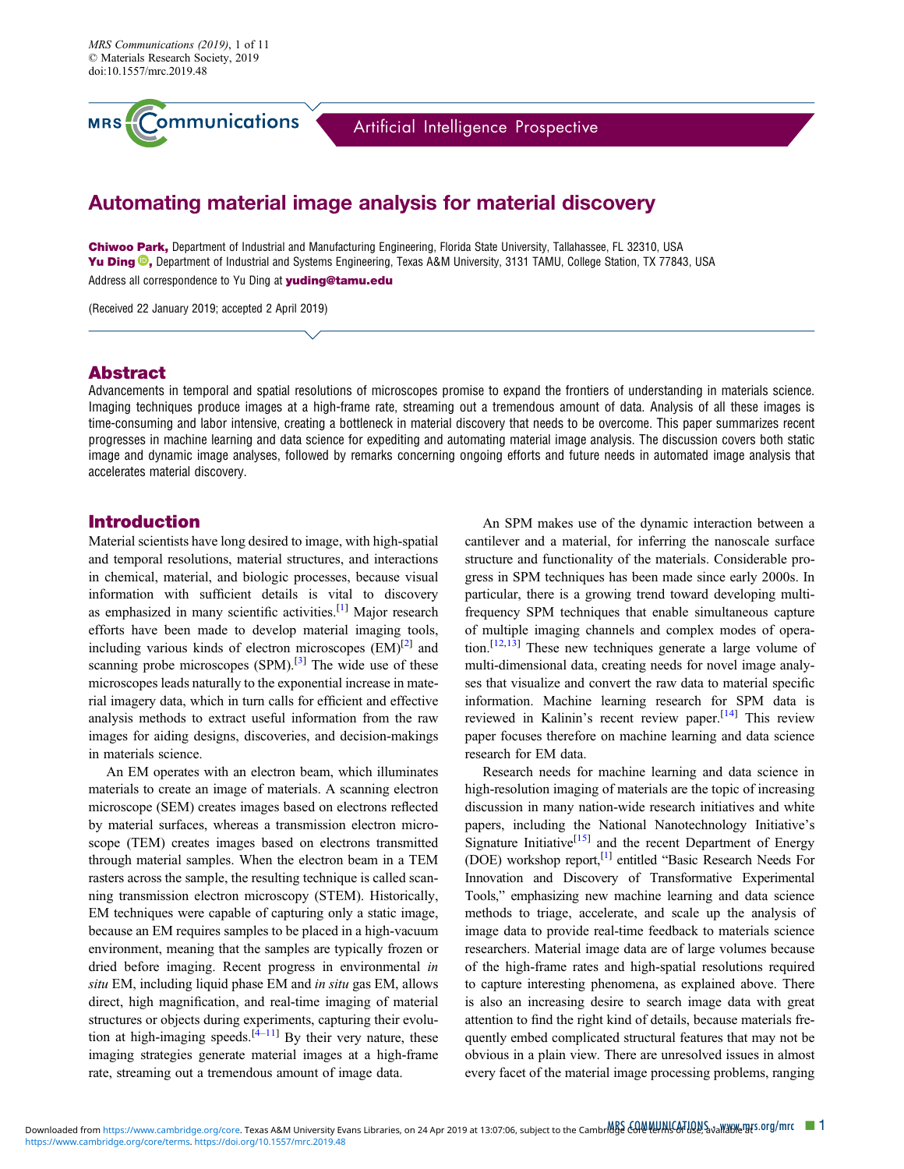

Artificial Intelligence Prospective

# Automating material image analysis for material discovery

Chiwoo Park, Department of Industrial and Manufacturing Engineering, Florida State University, Tallahassee, FL 32310, USA Yu Ding [,](https://orcid.org/0000-0001-6936-074X) Department of Industrial and Systems Engineering, Texas A&M University, 3131 TAMU, College Station, TX 77843, USA Address all correspondence to Yu Ding at **[yuding@tamu.edu](mailto:yuding@tamu.edu)** 

(Received 22 January 2019; accepted 2 April 2019)

#### Abstract

Advancements in temporal and spatial resolutions of microscopes promise to expand the frontiers of understanding in materials science. Imaging techniques produce images at a high-frame rate, streaming out a tremendous amount of data. Analysis of all these images is time-consuming and labor intensive, creating a bottleneck in material discovery that needs to be overcome. This paper summarizes recent progresses in machine learning and data science for expediting and automating material image analysis. The discussion covers both static image and dynamic image analyses, followed by remarks concerning ongoing efforts and future needs in automated image analysis that accelerates material discovery.

#### Introduction

Material scientists have long desired to image, with high-spatial and temporal resolutions, material structures, and interactions in chemical, material, and biologic processes, because visual information with sufficient details is vital to discovery as emphasized in many scientific activities.<sup>[\[1\]](#page-8-0)</sup> Major research efforts have been made to develop material imaging tools, including various kinds of electron microscopes  $(EM)^{[2]}$  $(EM)^{[2]}$  $(EM)^{[2]}$  and scanning probe microscopes  $(SPM)$ .<sup>[[3](#page-8-0)]</sup> The wide use of these microscopes leads naturally to the exponential increase in material imagery data, which in turn calls for efficient and effective analysis methods to extract useful information from the raw images for aiding designs, discoveries, and decision-makings in materials science.

An EM operates with an electron beam, which illuminates materials to create an image of materials. A scanning electron microscope (SEM) creates images based on electrons reflected by material surfaces, whereas a transmission electron microscope (TEM) creates images based on electrons transmitted through material samples. When the electron beam in a TEM rasters across the sample, the resulting technique is called scanning transmission electron microscopy (STEM). Historically, EM techniques were capable of capturing only a static image, because an EM requires samples to be placed in a high-vacuum environment, meaning that the samples are typically frozen or dried before imaging. Recent progress in environmental in situ EM, including liquid phase EM and in situ gas EM, allows direct, high magnification, and real-time imaging of material structures or objects during experiments, capturing their evolu-tion at high-imaging speeds.<sup>[[4](#page-8-0)–[11\]](#page-8-0)</sup> By their very nature, these imaging strategies generate material images at a high-frame rate, streaming out a tremendous amount of image data.

An SPM makes use of the dynamic interaction between a cantilever and a material, for inferring the nanoscale surface structure and functionality of the materials. Considerable progress in SPM techniques has been made since early 2000s. In particular, there is a growing trend toward developing multifrequency SPM techniques that enable simultaneous capture of multiple imaging channels and complex modes of opera-tion.<sup>[\[12,13](#page-8-0)]</sup> These new techniques generate a large volume of multi-dimensional data, creating needs for novel image analyses that visualize and convert the raw data to material specific information. Machine learning research for SPM data is reviewed in Kalinin's recent review paper. $[14]$  This review paper focuses therefore on machine learning and data science research for EM data.

Research needs for machine learning and data science in high-resolution imaging of materials are the topic of increasing discussion in many nation-wide research initiatives and white papers, including the National Nanotechnology Initiative's Signature Initiative<sup>[[15\]](#page-8-0)</sup> and the recent Department of Energy (DOE) workshop report,[\[1](#page-8-0)] entitled "Basic Research Needs For Innovation and Discovery of Transformative Experimental Tools," emphasizing new machine learning and data science methods to triage, accelerate, and scale up the analysis of image data to provide real-time feedback to materials science researchers. Material image data are of large volumes because of the high-frame rates and high-spatial resolutions required to capture interesting phenomena, as explained above. There is also an increasing desire to search image data with great attention to find the right kind of details, because materials frequently embed complicated structural features that may not be obvious in a plain view. There are unresolved issues in almost every facet of the material image processing problems, ranging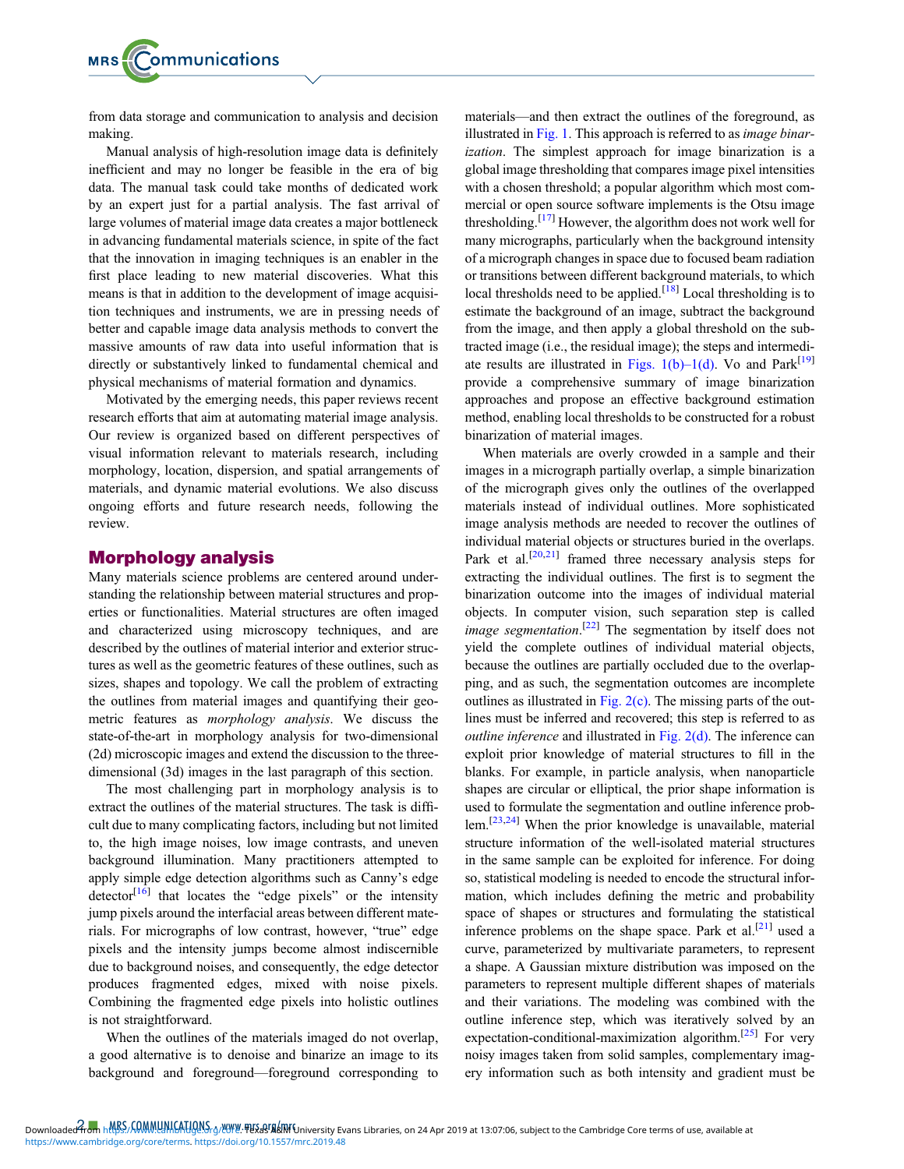from data storage and communication to analysis and decision making.

Manual analysis of high-resolution image data is definitely inefficient and may no longer be feasible in the era of big data. The manual task could take months of dedicated work by an expert just for a partial analysis. The fast arrival of large volumes of material image data creates a major bottleneck in advancing fundamental materials science, in spite of the fact that the innovation in imaging techniques is an enabler in the first place leading to new material discoveries. What this means is that in addition to the development of image acquisition techniques and instruments, we are in pressing needs of better and capable image data analysis methods to convert the massive amounts of raw data into useful information that is directly or substantively linked to fundamental chemical and physical mechanisms of material formation and dynamics.

Motivated by the emerging needs, this paper reviews recent research efforts that aim at automating material image analysis. Our review is organized based on different perspectives of visual information relevant to materials research, including morphology, location, dispersion, and spatial arrangements of materials, and dynamic material evolutions. We also discuss ongoing efforts and future research needs, following the review.

#### Morphology analysis

Many materials science problems are centered around understanding the relationship between material structures and properties or functionalities. Material structures are often imaged and characterized using microscopy techniques, and are described by the outlines of material interior and exterior structures as well as the geometric features of these outlines, such as sizes, shapes and topology. We call the problem of extracting the outlines from material images and quantifying their geometric features as morphology analysis. We discuss the state-of-the-art in morphology analysis for two-dimensional (2d) microscopic images and extend the discussion to the threedimensional (3d) images in the last paragraph of this section.

The most challenging part in morphology analysis is to extract the outlines of the material structures. The task is difficult due to many complicating factors, including but not limited to, the high image noises, low image contrasts, and uneven background illumination. Many practitioners attempted to apply simple edge detection algorithms such as Canny's edge detector<sup>[[16\]](#page-8-0)</sup> that locates the "edge pixels" or the intensity jump pixels around the interfacial areas between different materials. For micrographs of low contrast, however, "true" edge pixels and the intensity jumps become almost indiscernible due to background noises, and consequently, the edge detector produces fragmented edges, mixed with noise pixels. Combining the fragmented edge pixels into holistic outlines is not straightforward.

When the outlines of the materials imaged do not overlap, a good alternative is to denoise and binarize an image to its background and foreground—foreground corresponding to materials—and then extract the outlines of the foreground, as illustrated in [Fig. 1](#page-2-0). This approach is referred to as *image binar*ization. The simplest approach for image binarization is a global image thresholding that compares image pixel intensities with a chosen threshold; a popular algorithm which most commercial or open source software implements is the Otsu image thresholding.<sup>[[17\]](#page-9-0)</sup> However, the algorithm does not work well for many micrographs, particularly when the background intensity of a micrograph changes in space due to focused beam radiation or transitions between different background materials, to which local thresholds need to be applied.<sup>[[18\]](#page-9-0)</sup> Local thresholding is to estimate the background of an image, subtract the background from the image, and then apply a global threshold on the subtracted image (i.e., the residual image); the steps and intermedi-ate results are illustrated in [Figs. 1\(b\)](#page-2-0)–1(d). Vo and Park<sup>[[19\]](#page-9-0)</sup> provide a comprehensive summary of image binarization approaches and propose an effective background estimation method, enabling local thresholds to be constructed for a robust binarization of material images.

When materials are overly crowded in a sample and their images in a micrograph partially overlap, a simple binarization of the micrograph gives only the outlines of the overlapped materials instead of individual outlines. More sophisticated image analysis methods are needed to recover the outlines of individual material objects or structures buried in the overlaps. Park et al.<sup>[[20,21\]](#page-9-0)</sup> framed three necessary analysis steps for extracting the individual outlines. The first is to segment the binarization outcome into the images of individual material objects. In computer vision, such separation step is called image segmentation.<sup>[[22](#page-9-0)]</sup> The segmentation by itself does not yield the complete outlines of individual material objects, because the outlines are partially occluded due to the overlapping, and as such, the segmentation outcomes are incomplete outlines as illustrated in Fig.  $2(c)$ . The missing parts of the outlines must be inferred and recovered; this step is referred to as *outline inference* and illustrated in Fig.  $2(d)$ . The inference can exploit prior knowledge of material structures to fill in the blanks. For example, in particle analysis, when nanoparticle shapes are circular or elliptical, the prior shape information is used to formulate the segmentation and outline inference prob-lem.<sup>[[23,24\]](#page-9-0)</sup> When the prior knowledge is unavailable, material structure information of the well-isolated material structures in the same sample can be exploited for inference. For doing so, statistical modeling is needed to encode the structural information, which includes defining the metric and probability space of shapes or structures and formulating the statistical inference problems on the shape space. Park et al.  $[21]$  $[21]$  used a curve, parameterized by multivariate parameters, to represent a shape. A Gaussian mixture distribution was imposed on the parameters to represent multiple different shapes of materials and their variations. The modeling was combined with the outline inference step, which was iteratively solved by an expectation-conditional-maximization algorithm.<sup>[\[25](#page-9-0)]</sup> For very noisy images taken from solid samples, complementary imagery information such as both intensity and gradient must be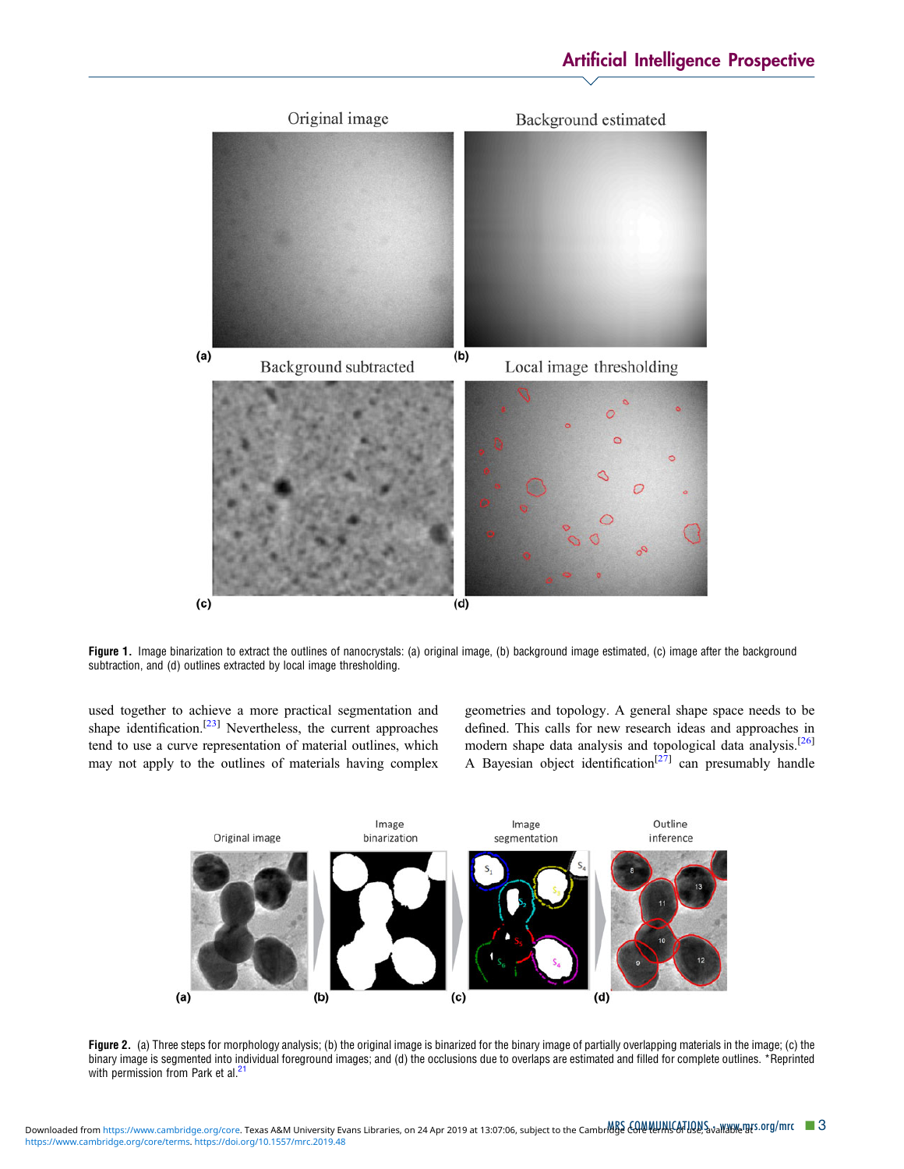<span id="page-2-0"></span>

Figure 1. Image binarization to extract the outlines of nanocrystals: (a) original image, (b) background image estimated, (c) image after the background subtraction, and (d) outlines extracted by local image thresholding.

used together to achieve a more practical segmentation and shape identification.[[23](#page-9-0)] Nevertheless, the current approaches tend to use a curve representation of material outlines, which may not apply to the outlines of materials having complex

geometries and topology. A general shape space needs to be defined. This calls for new research ideas and approaches in modern shape data analysis and topological data analysis.<sup>[[26\]](#page-9-0)</sup> A Bayesian object identification<sup>[[27\]](#page-9-0)</sup> can presumably handle



Figure 2. (a) Three steps for morphology analysis; (b) the original image is binarized for the binary image of partially overlapping materials in the image; (c) the binary image is segmented into individual foreground images; and (d) the occlusions due to overlaps are estimated and filled for complete outlines. \*Reprinted with permission from Park et al.<sup>21</sup>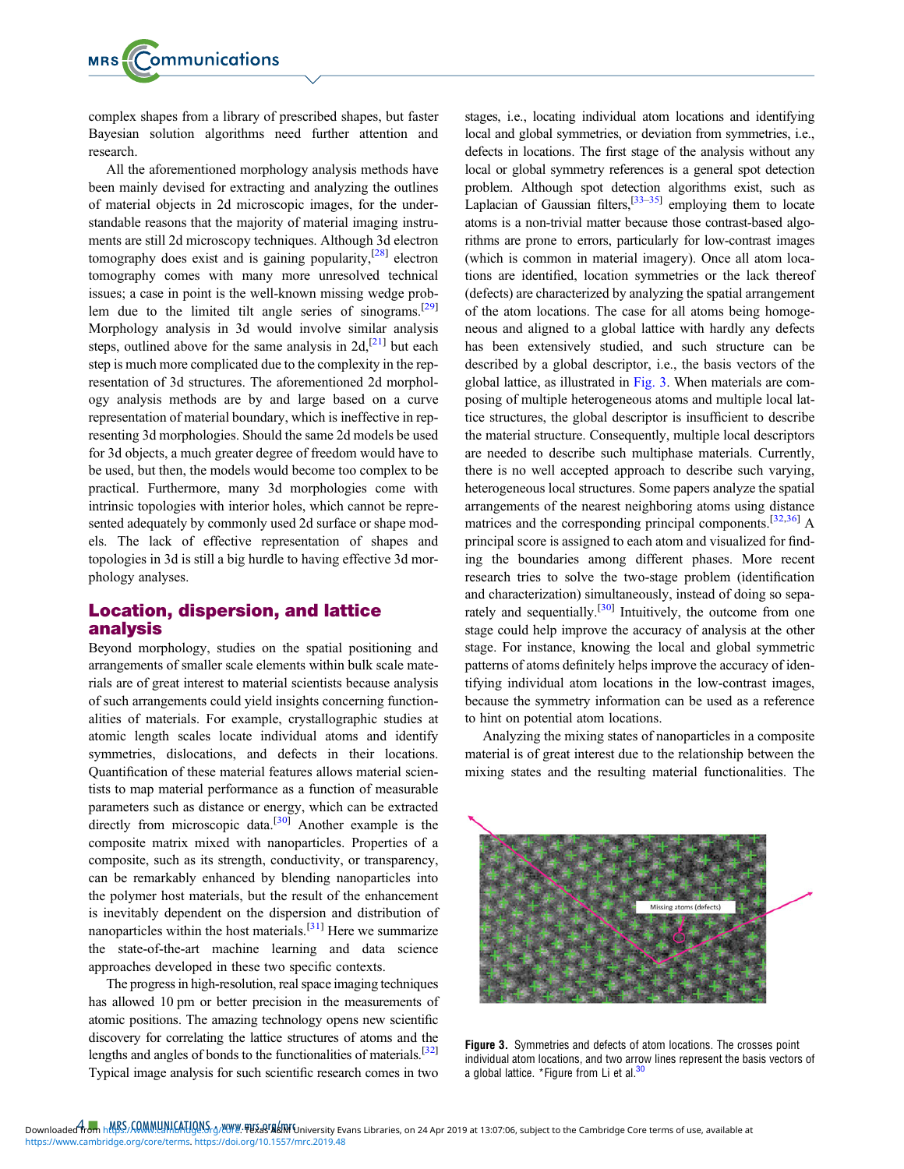complex shapes from a library of prescribed shapes, but faster Bayesian solution algorithms need further attention and research.

All the aforementioned morphology analysis methods have been mainly devised for extracting and analyzing the outlines of material objects in 2d microscopic images, for the understandable reasons that the majority of material imaging instruments are still 2d microscopy techniques. Although 3d electron tomography does exist and is gaining popularity, $^{[28]}$  $^{[28]}$  $^{[28]}$  electron tomography comes with many more unresolved technical issues; a case in point is the well-known missing wedge problem due to the limited tilt angle series of sinograms.[[29\]](#page-9-0) Morphology analysis in 3d would involve similar analysis steps, outlined above for the same analysis in  $2d<sub>1</sub><sup>[21]</sup>$  $2d<sub>1</sub><sup>[21]</sup>$  $2d<sub>1</sub><sup>[21]</sup>$  but each step is much more complicated due to the complexity in the representation of 3d structures. The aforementioned 2d morphology analysis methods are by and large based on a curve representation of material boundary, which is ineffective in representing 3d morphologies. Should the same 2d models be used for 3d objects, a much greater degree of freedom would have to be used, but then, the models would become too complex to be practical. Furthermore, many 3d morphologies come with intrinsic topologies with interior holes, which cannot be represented adequately by commonly used 2d surface or shape models. The lack of effective representation of shapes and topologies in 3d is still a big hurdle to having effective 3d morphology analyses.

# Location, dispersion, and lattice analysis

Beyond morphology, studies on the spatial positioning and arrangements of smaller scale elements within bulk scale materials are of great interest to material scientists because analysis of such arrangements could yield insights concerning functionalities of materials. For example, crystallographic studies at atomic length scales locate individual atoms and identify symmetries, dislocations, and defects in their locations. Quantification of these material features allows material scientists to map material performance as a function of measurable parameters such as distance or energy, which can be extracted directly from microscopic data.<sup>[[30\]](#page-9-0)</sup> Another example is the composite matrix mixed with nanoparticles. Properties of a composite, such as its strength, conductivity, or transparency, can be remarkably enhanced by blending nanoparticles into the polymer host materials, but the result of the enhancement is inevitably dependent on the dispersion and distribution of nanoparticles within the host materials.<sup>[\[31](#page-9-0)]</sup> Here we summarize the state-of-the-art machine learning and data science approaches developed in these two specific contexts.

The progress in high-resolution, real space imaging techniques has allowed 10 pm or better precision in the measurements of atomic positions. The amazing technology opens new scientific discovery for correlating the lattice structures of atoms and the lengths and angles of bonds to the functionalities of materials.<sup>[[32\]](#page-9-0)</sup> Typical image analysis for such scientific research comes in two

stages, i.e., locating individual atom locations and identifying local and global symmetries, or deviation from symmetries, i.e., defects in locations. The first stage of the analysis without any local or global symmetry references is a general spot detection problem. Although spot detection algorithms exist, such as Laplacian of Gaussian filters,  $[33-35]$  $[33-35]$  $[33-35]$  $[33-35]$  employing them to locate atoms is a non-trivial matter because those contrast-based algorithms are prone to errors, particularly for low-contrast images (which is common in material imagery). Once all atom locations are identified, location symmetries or the lack thereof (defects) are characterized by analyzing the spatial arrangement of the atom locations. The case for all atoms being homogeneous and aligned to a global lattice with hardly any defects has been extensively studied, and such structure can be described by a global descriptor, i.e., the basis vectors of the global lattice, as illustrated in Fig. 3. When materials are composing of multiple heterogeneous atoms and multiple local lattice structures, the global descriptor is insufficient to describe the material structure. Consequently, multiple local descriptors are needed to describe such multiphase materials. Currently, there is no well accepted approach to describe such varying, heterogeneous local structures. Some papers analyze the spatial arrangements of the nearest neighboring atoms using distance matrices and the corresponding principal components.<sup>[[32](#page-9-0),[36\]](#page-9-0)</sup> A principal score is assigned to each atom and visualized for finding the boundaries among different phases. More recent research tries to solve the two-stage problem (identification and characterization) simultaneously, instead of doing so sepa-rately and sequentially.<sup>[\[30](#page-9-0)]</sup> Intuitively, the outcome from one stage could help improve the accuracy of analysis at the other stage. For instance, knowing the local and global symmetric patterns of atoms definitely helps improve the accuracy of identifying individual atom locations in the low-contrast images, because the symmetry information can be used as a reference to hint on potential atom locations.

Analyzing the mixing states of nanoparticles in a composite material is of great interest due to the relationship between the mixing states and the resulting material functionalities. The



Figure 3. Symmetries and defects of atom locations. The crosses point individual atom locations, and two arrow lines represent the basis vectors of a global lattice. \*Figure from Li et al.<sup>30</sup>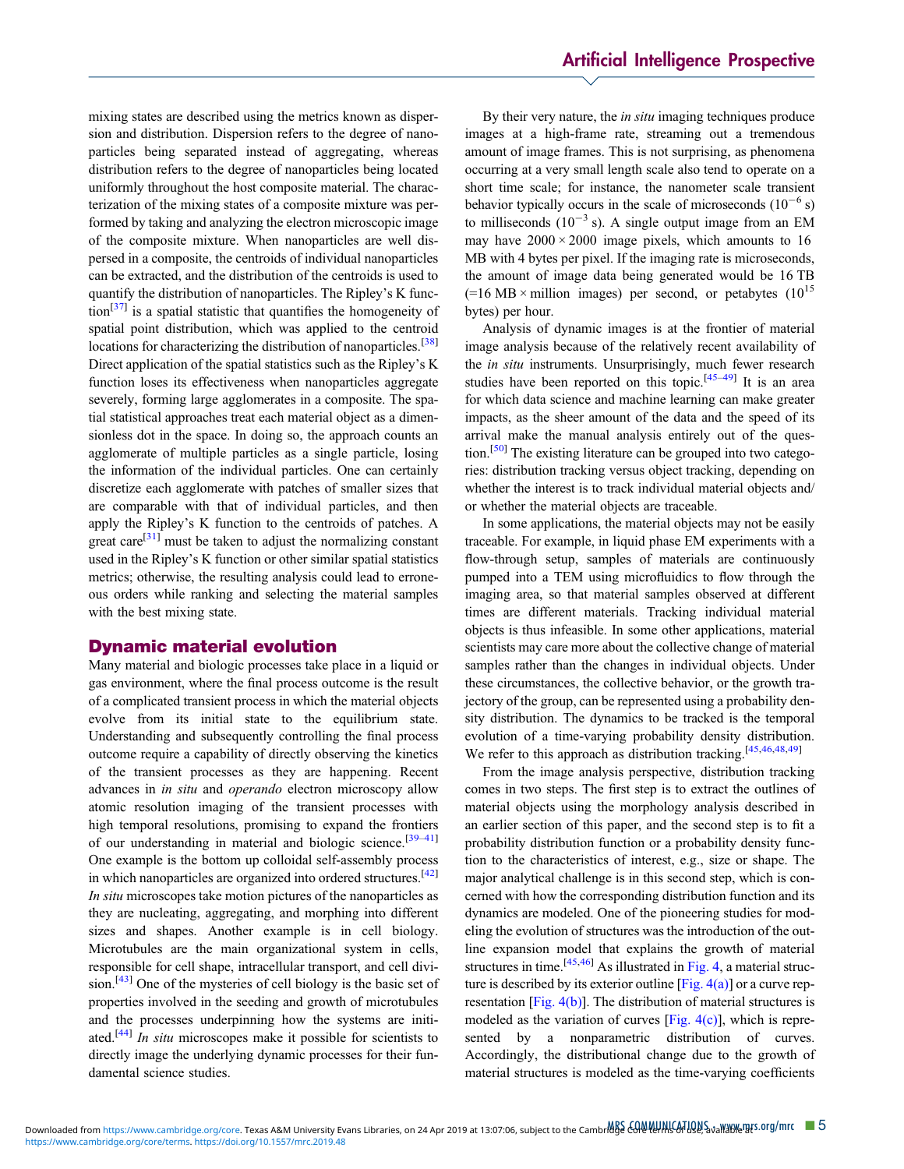mixing states are described using the metrics known as dispersion and distribution. Dispersion refers to the degree of nanoparticles being separated instead of aggregating, whereas distribution refers to the degree of nanoparticles being located uniformly throughout the host composite material. The characterization of the mixing states of a composite mixture was performed by taking and analyzing the electron microscopic image of the composite mixture. When nanoparticles are well dispersed in a composite, the centroids of individual nanoparticles can be extracted, and the distribution of the centroids is used to quantify the distribution of nanoparticles. The Ripley's K func- $\[\text{tion}^{[37]}]$  $\[\text{tion}^{[37]}]$  $\[\text{tion}^{[37]}]$  is a spatial statistic that quantifies the homogeneity of spatial point distribution, which was applied to the centroid locations for characterizing the distribution of nanoparticles.<sup>[[38\]](#page-9-0)</sup> Direct application of the spatial statistics such as the Ripley's K function loses its effectiveness when nanoparticles aggregate severely, forming large agglomerates in a composite. The spatial statistical approaches treat each material object as a dimensionless dot in the space. In doing so, the approach counts an agglomerate of multiple particles as a single particle, losing the information of the individual particles. One can certainly discretize each agglomerate with patches of smaller sizes that are comparable with that of individual particles, and then apply the Ripley's K function to the centroids of patches. A great care<sup>[\[31](#page-9-0)]</sup> must be taken to adjust the normalizing constant used in the Ripley's K function or other similar spatial statistics metrics; otherwise, the resulting analysis could lead to erroneous orders while ranking and selecting the material samples with the best mixing state.

# Dynamic material evolution

Many material and biologic processes take place in a liquid or gas environment, where the final process outcome is the result of a complicated transient process in which the material objects evolve from its initial state to the equilibrium state. Understanding and subsequently controlling the final process outcome require a capability of directly observing the kinetics of the transient processes as they are happening. Recent advances in in situ and operando electron microscopy allow atomic resolution imaging of the transient processes with high temporal resolutions, promising to expand the frontiers of our understanding in material and biologic science.<sup>[[39](#page-9-0)–[41\]](#page-9-0)</sup> One example is the bottom up colloidal self-assembly process in which nanoparticles are organized into ordered structures.<sup>[[42\]](#page-9-0)</sup> In situ microscopes take motion pictures of the nanoparticles as they are nucleating, aggregating, and morphing into different sizes and shapes. Another example is in cell biology. Microtubules are the main organizational system in cells, responsible for cell shape, intracellular transport, and cell divi-sion.<sup>[\[43\]](#page-9-0)</sup> One of the mysteries of cell biology is the basic set of properties involved in the seeding and growth of microtubules and the processes underpinning how the systems are initi-ated.<sup>[\[44](#page-9-0)]</sup> In situ microscopes make it possible for scientists to directly image the underlying dynamic processes for their fundamental science studies.

By their very nature, the *in situ* imaging techniques produce images at a high-frame rate, streaming out a tremendous amount of image frames. This is not surprising, as phenomena occurring at a very small length scale also tend to operate on a short time scale; for instance, the nanometer scale transient behavior typically occurs in the scale of microseconds  $(10^{-6} s)$ to milliseconds  $(10^{-3} s)$ . A single output image from an EM may have  $2000 \times 2000$  image pixels, which amounts to 16 MB with 4 bytes per pixel. If the imaging rate is microseconds, the amount of image data being generated would be 16 TB  $(=16 \text{ MB} \times \text{million} \text{ images})$  per second, or petabytes  $(10^{15} \text{ cm}^2)$ bytes) per hour.

Analysis of dynamic images is at the frontier of material image analysis because of the relatively recent availability of the in situ instruments. Unsurprisingly, much fewer research studies have been reported on this topic.<sup>[\[45](#page-9-0)–[49\]](#page-9-0)</sup> It is an area for which data science and machine learning can make greater impacts, as the sheer amount of the data and the speed of its arrival make the manual analysis entirely out of the ques-tion.<sup>[\[50](#page-9-0)]</sup> The existing literature can be grouped into two categories: distribution tracking versus object tracking, depending on whether the interest is to track individual material objects and/ or whether the material objects are traceable.

In some applications, the material objects may not be easily traceable. For example, in liquid phase EM experiments with a flow-through setup, samples of materials are continuously pumped into a TEM using microfluidics to flow through the imaging area, so that material samples observed at different times are different materials. Tracking individual material objects is thus infeasible. In some other applications, material scientists may care more about the collective change of material samples rather than the changes in individual objects. Under these circumstances, the collective behavior, or the growth trajectory of the group, can be represented using a probability density distribution. The dynamics to be tracked is the temporal evolution of a time-varying probability density distribution. We refer to this approach as distribution tracking.<sup>[\[45,46](#page-9-0),[48](#page-9-0),[49\]](#page-9-0)</sup>

From the image analysis perspective, distribution tracking comes in two steps. The first step is to extract the outlines of material objects using the morphology analysis described in an earlier section of this paper, and the second step is to fit a probability distribution function or a probability density function to the characteristics of interest, e.g., size or shape. The major analytical challenge is in this second step, which is concerned with how the corresponding distribution function and its dynamics are modeled. One of the pioneering studies for modeling the evolution of structures was the introduction of the outline expansion model that explains the growth of material structures in time.<sup>[\[45](#page-9-0),[46](#page-9-0)]</sup> As illustrated in [Fig. 4,](#page-5-0) a material structure is described by its exterior outline  $[Fig. 4(a)]$  $[Fig. 4(a)]$  or a curve representation [\[Fig. 4\(b\)](#page-5-0)]. The distribution of material structures is modeled as the variation of curves  $[Fig. 4(c)]$  $[Fig. 4(c)]$ , which is represented by a nonparametric distribution of curves. Accordingly, the distributional change due to the growth of material structures is modeled as the time-varying coefficients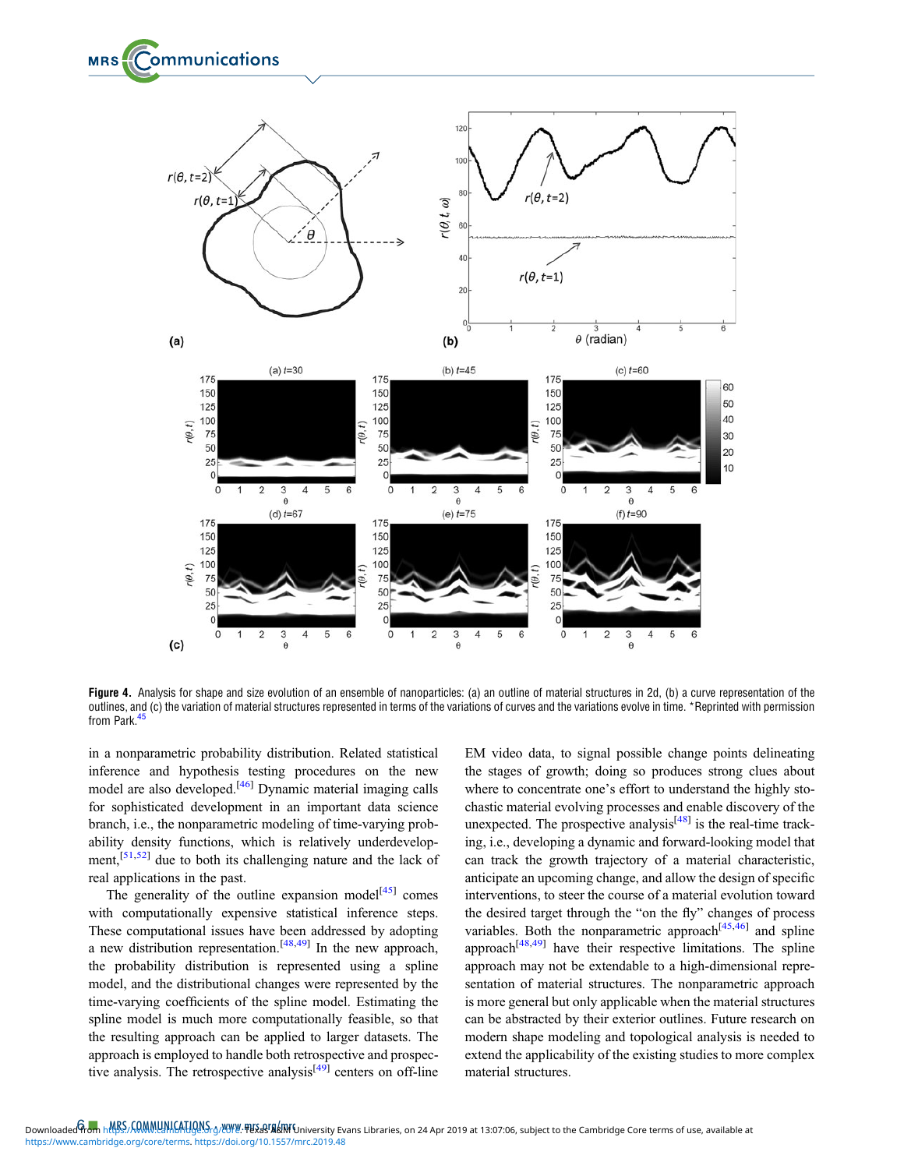<span id="page-5-0"></span>



**Figure 4.** Analysis for shape and size evolution of an ensemble of nanoparticles: (a) an outline of material structures in 2d, (b) a curve representation of the<br>outlines, and (c) the variation of material structures repre from Park.<sup>45</sup>

in a nonparametric probability distribution. Related statistical inference and hypothesis testing procedures on the new model are also developed.<sup>[\[46\]](#page-9-0)</sup> Dynamic material imaging calls for sophisticated development in an important data science branch, i.e., the nonparametric modeling of time-varying probability density functions, which is relatively underdevelop-ment,<sup>[[51,52\]](#page-9-0)</sup> due to both its challenging nature and the lack of real applications in the past.

The generality of the outline expansion model<sup>[\[45](#page-9-0)]</sup> comes with computationally expensive statistical inference steps. These computational issues have been addressed by adopting a new distribution representation.<sup>[[48](#page-9-0),[49](#page-9-0)]</sup> In the new approach, the probability distribution is represented using a spline model, and the distributional changes were represented by the time-varying coefficients of the spline model. Estimating the spline model is much more computationally feasible, so that the resulting approach can be applied to larger datasets. The approach is employed to handle both retrospective and prospec-tive analysis. The retrospective analysis<sup>[\[49](#page-9-0)]</sup> centers on off-line EM video data, to signal possible change points delineating the stages of growth; doing so produces strong clues about where to concentrate one's effort to understand the highly stochastic material evolving processes and enable discovery of the unexpected. The prospective analysis $[48]$  $[48]$  is the real-time tracking, i.e., developing a dynamic and forward-looking model that can track the growth trajectory of a material characteristic, anticipate an upcoming change, and allow the design of specific interventions, to steer the course of a material evolution toward the desired target through the "on the fly" changes of process variables. Both the nonparametric approach $[45,46]$  $[45,46]$  $[45,46]$  $[45,46]$  and spline approach<sup> $[48,49]$  $[48,49]$ </sup> have their respective limitations. The spline approach may not be extendable to a high-dimensional representation of material structures. The nonparametric approach is more general but only applicable when the material structures can be abstracted by their exterior outlines. Future research on modern shape modeling and topological analysis is needed to extend the applicability of the existing studies to more complex material structures.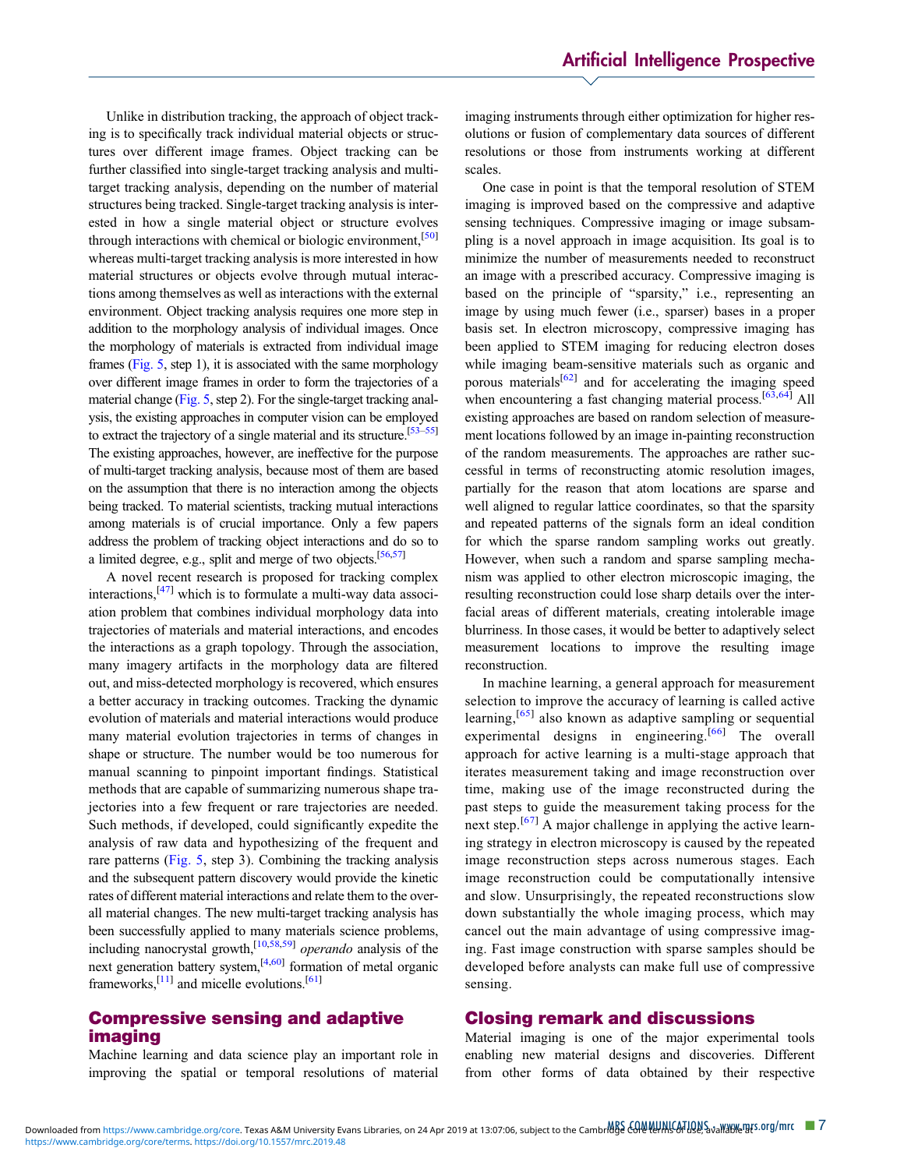Unlike in distribution tracking, the approach of object tracking is to specifically track individual material objects or structures over different image frames. Object tracking can be further classified into single-target tracking analysis and multitarget tracking analysis, depending on the number of material structures being tracked. Single-target tracking analysis is interested in how a single material object or structure evolves through interactions with chemical or biologic environment,<sup>[[50\]](#page-9-0)</sup> whereas multi-target tracking analysis is more interested in how material structures or objects evolve through mutual interactions among themselves as well as interactions with the external environment. Object tracking analysis requires one more step in addition to the morphology analysis of individual images. Once the morphology of materials is extracted from individual image frames ([Fig. 5,](#page-7-0) step 1), it is associated with the same morphology over different image frames in order to form the trajectories of a material change [\(Fig. 5](#page-7-0), step 2). For the single-target tracking analysis, the existing approaches in computer vision can be employed to extract the trajectory of a single material and its structure.[\[53](#page-9-0)–[55\]](#page-9-0) The existing approaches, however, are ineffective for the purpose of multi-target tracking analysis, because most of them are based on the assumption that there is no interaction among the objects being tracked. To material scientists, tracking mutual interactions among materials is of crucial importance. Only a few papers address the problem of tracking object interactions and do so to a limited degree, e.g., split and merge of two objects.<sup>[\[56,57\]](#page-9-0)</sup>

A novel recent research is proposed for tracking complex interactions, $[47]$  $[47]$  which is to formulate a multi-way data association problem that combines individual morphology data into trajectories of materials and material interactions, and encodes the interactions as a graph topology. Through the association, many imagery artifacts in the morphology data are filtered out, and miss-detected morphology is recovered, which ensures a better accuracy in tracking outcomes. Tracking the dynamic evolution of materials and material interactions would produce many material evolution trajectories in terms of changes in shape or structure. The number would be too numerous for manual scanning to pinpoint important findings. Statistical methods that are capable of summarizing numerous shape trajectories into a few frequent or rare trajectories are needed. Such methods, if developed, could significantly expedite the analysis of raw data and hypothesizing of the frequent and rare patterns [\(Fig. 5,](#page-7-0) step 3). Combining the tracking analysis and the subsequent pattern discovery would provide the kinetic rates of different material interactions and relate them to the overall material changes. The new multi-target tracking analysis has been successfully applied to many materials science problems, including nanocrystal growth,<sup>[[10](#page-8-0)[,58,59](#page-9-0)]</sup> *operando* analysis of the next generation battery system,<sup>[[4](#page-8-0),[60\]](#page-9-0)</sup> formation of metal organic frameworks, $^{[11]}$  $^{[11]}$  $^{[11]}$  and micelle evolutions.<sup>[\[61\]](#page-9-0)</sup>

# Compressive sensing and adaptive imaging

Machine learning and data science play an important role in improving the spatial or temporal resolutions of material imaging instruments through either optimization for higher resolutions or fusion of complementary data sources of different resolutions or those from instruments working at different scales.

One case in point is that the temporal resolution of STEM imaging is improved based on the compressive and adaptive sensing techniques. Compressive imaging or image subsampling is a novel approach in image acquisition. Its goal is to minimize the number of measurements needed to reconstruct an image with a prescribed accuracy. Compressive imaging is based on the principle of "sparsity," i.e., representing an image by using much fewer (i.e., sparser) bases in a proper basis set. In electron microscopy, compressive imaging has been applied to STEM imaging for reducing electron doses while imaging beam-sensitive materials such as organic and porous materials $[62]$  $[62]$  and for accelerating the imaging speed when encountering a fast changing material process.<sup>[[63,64\]](#page-9-0)</sup> All existing approaches are based on random selection of measurement locations followed by an image in-painting reconstruction of the random measurements. The approaches are rather successful in terms of reconstructing atomic resolution images, partially for the reason that atom locations are sparse and well aligned to regular lattice coordinates, so that the sparsity and repeated patterns of the signals form an ideal condition for which the sparse random sampling works out greatly. However, when such a random and sparse sampling mechanism was applied to other electron microscopic imaging, the resulting reconstruction could lose sharp details over the interfacial areas of different materials, creating intolerable image blurriness. In those cases, it would be better to adaptively select measurement locations to improve the resulting image reconstruction.

In machine learning, a general approach for measurement selection to improve the accuracy of learning is called active learning,<sup>[\[65\]](#page-10-0)</sup> also known as adaptive sampling or sequential experimental designs in engineering.<sup>[[66](#page-10-0)]</sup> The overall approach for active learning is a multi-stage approach that iterates measurement taking and image reconstruction over time, making use of the image reconstructed during the past steps to guide the measurement taking process for the next step.<sup>[[67\]](#page-10-0)</sup> A major challenge in applying the active learning strategy in electron microscopy is caused by the repeated image reconstruction steps across numerous stages. Each image reconstruction could be computationally intensive and slow. Unsurprisingly, the repeated reconstructions slow down substantially the whole imaging process, which may cancel out the main advantage of using compressive imaging. Fast image construction with sparse samples should be developed before analysts can make full use of compressive sensing.

#### Closing remark and discussions

Material imaging is one of the major experimental tools enabling new material designs and discoveries. Different from other forms of data obtained by their respective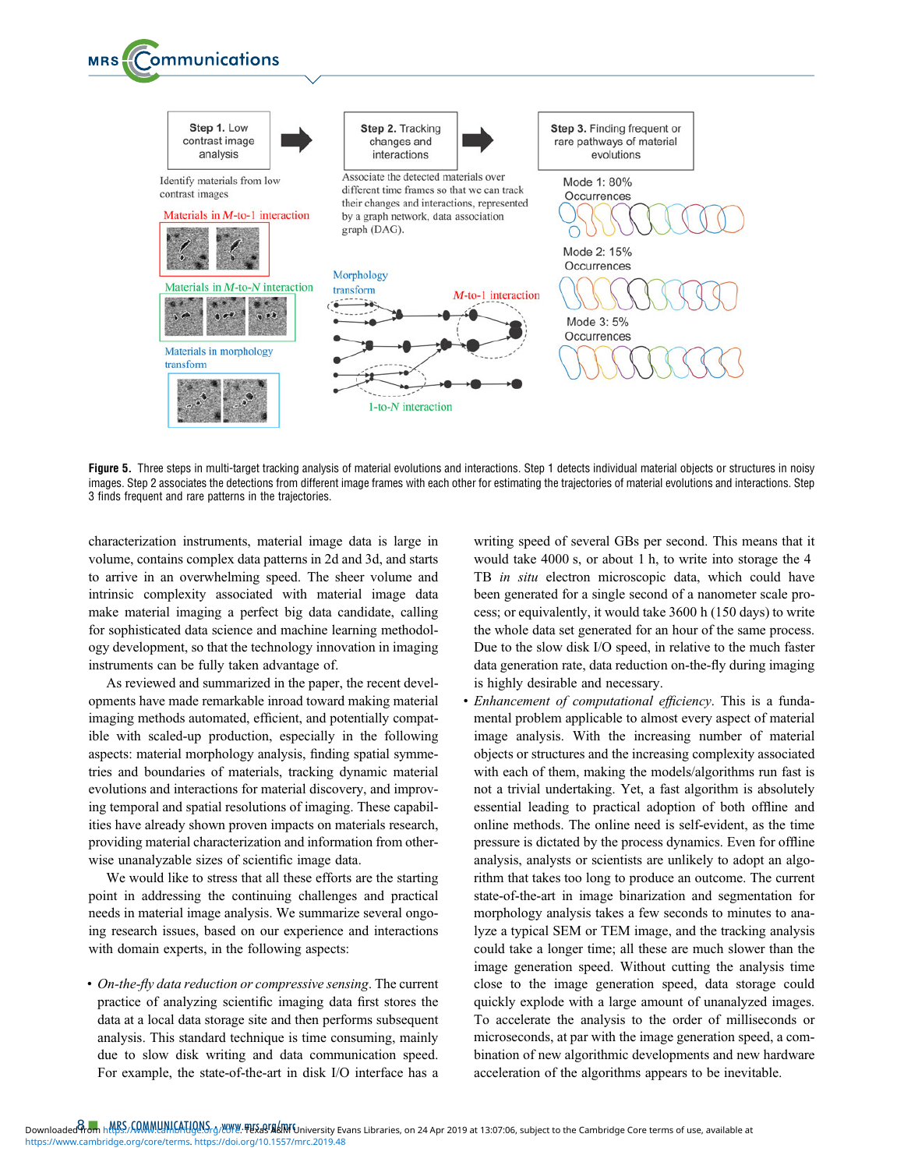<span id="page-7-0"></span>

Figure 5. Three steps in multi-target tracking analysis of material evolutions and interactions. Step 1 detects individual material objects or structures in noisy images. Step 2 associates the detections from different image frames with each other for estimating the trajectories of material evolutions and interactions. Step 3 finds frequent and rare patterns in the trajectories.

characterization instruments, material image data is large in volume, contains complex data patterns in 2d and 3d, and starts to arrive in an overwhelming speed. The sheer volume and intrinsic complexity associated with material image data make material imaging a perfect big data candidate, calling for sophisticated data science and machine learning methodology development, so that the technology innovation in imaging instruments can be fully taken advantage of.

As reviewed and summarized in the paper, the recent developments have made remarkable inroad toward making material imaging methods automated, efficient, and potentially compatible with scaled-up production, especially in the following aspects: material morphology analysis, finding spatial symmetries and boundaries of materials, tracking dynamic material evolutions and interactions for material discovery, and improving temporal and spatial resolutions of imaging. These capabilities have already shown proven impacts on materials research, providing material characterization and information from otherwise unanalyzable sizes of scientific image data.

We would like to stress that all these efforts are the starting point in addressing the continuing challenges and practical needs in material image analysis. We summarize several ongoing research issues, based on our experience and interactions with domain experts, in the following aspects:

• On-the-fly data reduction or compressive sensing. The current practice of analyzing scientific imaging data first stores the data at a local data storage site and then performs subsequent analysis. This standard technique is time consuming, mainly due to slow disk writing and data communication speed. For example, the state-of-the-art in disk I/O interface has a

writing speed of several GBs per second. This means that it would take 4000 s, or about 1 h, to write into storage the 4 TB in situ electron microscopic data, which could have been generated for a single second of a nanometer scale process; or equivalently, it would take 3600 h (150 days) to write the whole data set generated for an hour of the same process. Due to the slow disk I/O speed, in relative to the much faster data generation rate, data reduction on-the-fly during imaging is highly desirable and necessary.

• Enhancement of computational efficiency. This is a fundamental problem applicable to almost every aspect of material image analysis. With the increasing number of material objects or structures and the increasing complexity associated with each of them, making the models/algorithms run fast is not a trivial undertaking. Yet, a fast algorithm is absolutely essential leading to practical adoption of both offline and online methods. The online need is self-evident, as the time pressure is dictated by the process dynamics. Even for offline analysis, analysts or scientists are unlikely to adopt an algorithm that takes too long to produce an outcome. The current state-of-the-art in image binarization and segmentation for morphology analysis takes a few seconds to minutes to analyze a typical SEM or TEM image, and the tracking analysis could take a longer time; all these are much slower than the image generation speed. Without cutting the analysis time close to the image generation speed, data storage could quickly explode with a large amount of unanalyzed images. To accelerate the analysis to the order of milliseconds or microseconds, at par with the image generation speed, a combination of new algorithmic developments and new hardware acceleration of the algorithms appears to be inevitable.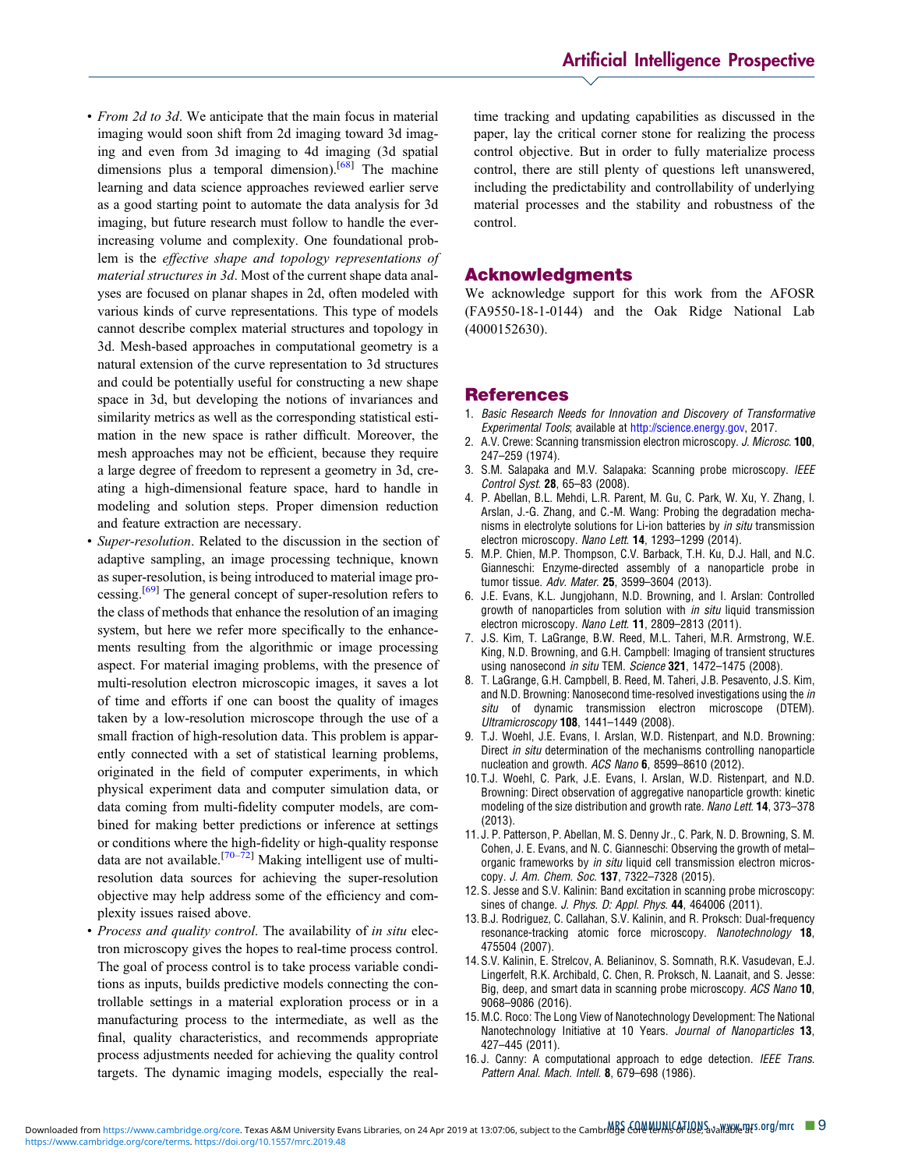- <span id="page-8-0"></span>• From 2d to 3d. We anticipate that the main focus in material imaging would soon shift from 2d imaging toward 3d imaging and even from 3d imaging to 4d imaging (3d spatial dimensions plus a temporal dimension).<sup>[[68\]](#page-10-0)</sup> The machine learning and data science approaches reviewed earlier serve as a good starting point to automate the data analysis for 3d imaging, but future research must follow to handle the everincreasing volume and complexity. One foundational problem is the effective shape and topology representations of material structures in 3d. Most of the current shape data analyses are focused on planar shapes in 2d, often modeled with various kinds of curve representations. This type of models cannot describe complex material structures and topology in 3d. Mesh-based approaches in computational geometry is a natural extension of the curve representation to 3d structures and could be potentially useful for constructing a new shape space in 3d, but developing the notions of invariances and similarity metrics as well as the corresponding statistical estimation in the new space is rather difficult. Moreover, the mesh approaches may not be efficient, because they require a large degree of freedom to represent a geometry in 3d, creating a high-dimensional feature space, hard to handle in modeling and solution steps. Proper dimension reduction and feature extraction are necessary.
- Super-resolution. Related to the discussion in the section of adaptive sampling, an image processing technique, known as super-resolution, is being introduced to material image pro-cessing.<sup>[[69\]](#page-10-0)</sup> The general concept of super-resolution refers to the class of methods that enhance the resolution of an imaging system, but here we refer more specifically to the enhancements resulting from the algorithmic or image processing aspect. For material imaging problems, with the presence of multi-resolution electron microscopic images, it saves a lot of time and efforts if one can boost the quality of images taken by a low-resolution microscope through the use of a small fraction of high-resolution data. This problem is apparently connected with a set of statistical learning problems, originated in the field of computer experiments, in which physical experiment data and computer simulation data, or data coming from multi-fidelity computer models, are combined for making better predictions or inference at settings or conditions where the high-fidelity or high-quality response data are not available.<sup>[\[70](#page-10-0)–[72\]](#page-10-0)</sup> Making intelligent use of multiresolution data sources for achieving the super-resolution objective may help address some of the efficiency and complexity issues raised above.
- Process and quality control. The availability of in situ electron microscopy gives the hopes to real-time process control. The goal of process control is to take process variable conditions as inputs, builds predictive models connecting the controllable settings in a material exploration process or in a manufacturing process to the intermediate, as well as the final, quality characteristics, and recommends appropriate process adjustments needed for achieving the quality control targets. The dynamic imaging models, especially the real-

time tracking and updating capabilities as discussed in the paper, lay the critical corner stone for realizing the process control objective. But in order to fully materialize process control, there are still plenty of questions left unanswered, including the predictability and controllability of underlying material processes and the stability and robustness of the control.

# Acknowledgments

We acknowledge support for this work from the AFOSR (FA9550-18-1-0144) and the Oak Ridge National Lab (4000152630).

# References

- 1. Basic Research Needs for Innovation and Discovery of Transformative Experimental Tools; available at <http://science.energy.gov>, 2017.
- 2. A.V. Crewe: Scanning transmission electron microscopy. J. Microsc. 100, 247–259 (1974).
- 3. S.M. Salapaka and M.V. Salapaka: Scanning probe microscopy. IEEE Control Syst. 28, 65–83 (2008).
- 4. P. Abellan, B.L. Mehdi, L.R. Parent, M. Gu, C. Park, W. Xu, Y. Zhang, I. Arslan, J.-G. Zhang, and C.-M. Wang: Probing the degradation mechanisms in electrolyte solutions for Li-ion batteries by in situ transmission electron microscopy. Nano Lett. **14**, 1293–1299 (2014).
- 5. M.P. Chien, M.P. Thompson, C.V. Barback, T.H. Ku, D.J. Hall, and N.C. Gianneschi: Enzyme‐directed assembly of a nanoparticle probe in tumor tissue. Adv. Mater. 25, 3599–3604 (2013).
- 6. J.E. Evans, K.L. Jungjohann, N.D. Browning, and I. Arslan: Controlled growth of nanoparticles from solution with in situ liquid transmission electron microscopy. Nano Lett. 11, 2809–2813 (2011).
- 7. J.S. Kim, T. LaGrange, B.W. Reed, M.L. Taheri, M.R. Armstrong, W.E. King, N.D. Browning, and G.H. Campbell: Imaging of transient structures using nanosecond in situ TEM. Science 321, 1472-1475 (2008).
- 8. T. LaGrange, G.H. Campbell, B. Reed, M. Taheri, J.B. Pesavento, J.S. Kim, and N.D. Browning: Nanosecond time-resolved investigations using the *in* situ of dynamic transmission electron microscope (DTEM). Ultramicroscopy 108, 1441–1449 (2008).
- 9. T.J. Woehl, J.E. Evans, I. Arslan, W.D. Ristenpart, and N.D. Browning: Direct *in situ* determination of the mechanisms controlling nanoparticle nucleation and growth. ACS Nano 6, 8599-8610 (2012).
- 10. T.J. Woehl, C. Park, J.E. Evans, I. Arslan, W.D. Ristenpart, and N.D. Browning: Direct observation of aggregative nanoparticle growth: kinetic modeling of the size distribution and growth rate. Nano Lett. 14, 373–<sup>378</sup> (2013).
- 11. J. P. Patterson, P. Abellan, M. S. Denny Jr., C. Park, N. D. Browning, S. M. Cohen, J. E. Evans, and N. C. Gianneschi: Observing the growth of metal– organic frameworks by in situ liquid cell transmission electron microscopy. J. Am. Chem. Soc. 137, 7322–7328 (2015).
- 12. S. Jesse and S.V. Kalinin: Band excitation in scanning probe microscopy: sines of change. J. Phys. D: Appl. Phys. 44, 464006 (2011).
- 13. B.J. Rodriguez, C. Callahan, S.V. Kalinin, and R. Proksch: Dual-frequency resonance-tracking atomic force microscopy. Nanotechnology 18, 475504 (2007).
- 14. S.V. Kalinin, E. Strelcov, A. Belianinov, S. Somnath, R.K. Vasudevan, E.J. Lingerfelt, R.K. Archibald, C. Chen, R. Proksch, N. Laanait, and S. Jesse: Big, deep, and smart data in scanning probe microscopy. ACS Nano 10, 9068–9086 (2016).
- 15.M.C. Roco: The Long View of Nanotechnology Development: The National Nanotechnology Initiative at 10 Years. Journal of Nanoparticles 13, 427–445 (2011).
- 16. J. Canny: A computational approach to edge detection. IEEE Trans. Pattern Anal. Mach. Intell. 8, 679–698 (1986).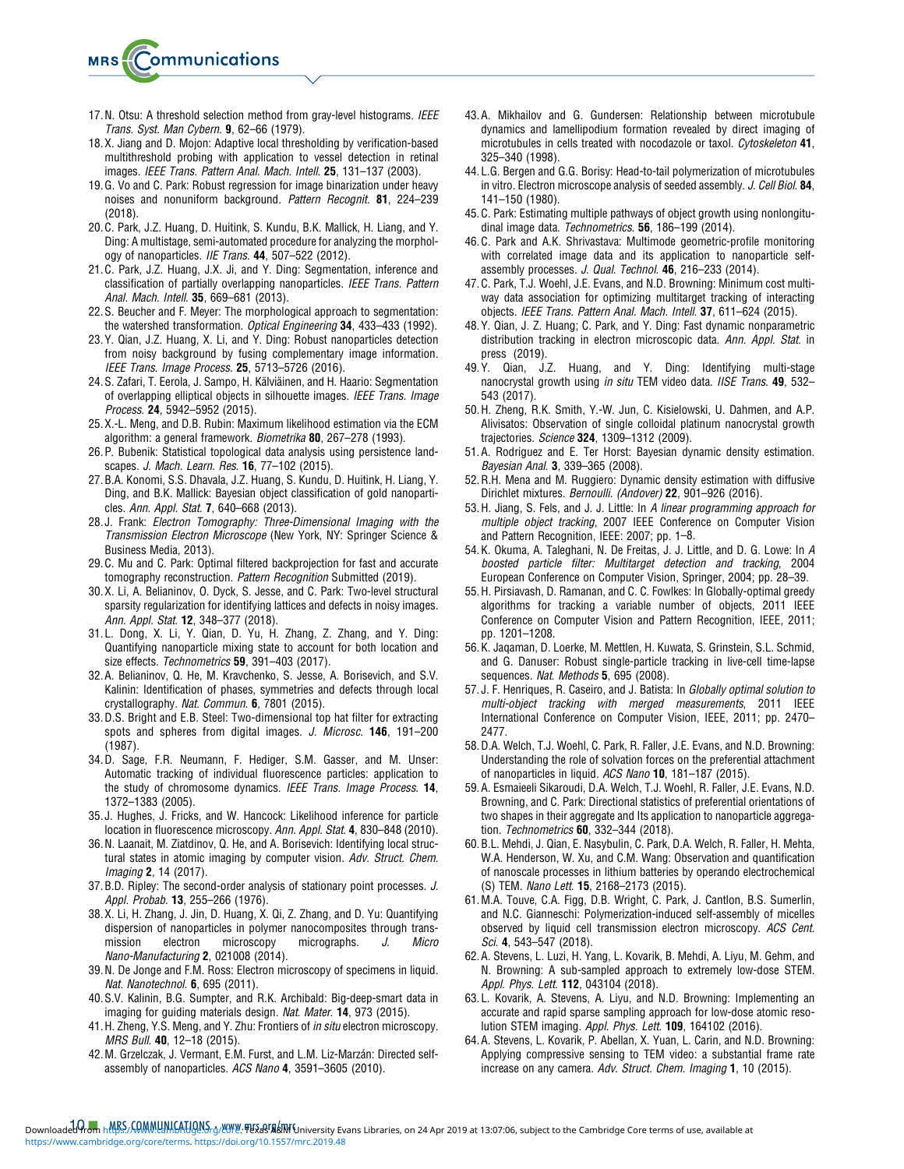- <span id="page-9-0"></span>17. N. Otsu: A threshold selection method from gray-level histograms. IEEE Trans. Syst. Man Cybern. 9, 62–66 (1979).
- 18. X. Jiang and D. Mojon: Adaptive local thresholding by verification-based multithreshold probing with application to vessel detection in retinal images. IEEE Trans. Pattern Anal. Mach. Intell. 25, 131-137 (2003).
- 19. G. Vo and C. Park: Robust regression for image binarization under heavy noises and nonuniform background. Pattern Recognit. 81, 224–<sup>239</sup> (2018).
- 20. C. Park, J.Z. Huang, D. Huitink, S. Kundu, B.K. Mallick, H. Liang, and Y. Ding: A multistage, semi-automated procedure for analyzing the morphology of nanoparticles. IIE Trans. 44, 507–522 (2012).
- 21. C. Park, J.Z. Huang, J.X. Ji, and Y. Ding: Segmentation, inference and classification of partially overlapping nanoparticles. IEEE Trans. Pattern Anal. Mach. Intell. 35, 669-681 (2013).
- 22. S. Beucher and F. Meyer: The morphological approach to segmentation: the watershed transformation. Optical Engineering 34, 433-433 (1992).
- 23. Y. Qian, J.Z. Huang, X. Li, and Y. Ding: Robust nanoparticles detection from noisy background by fusing complementary image information. IEEE Trans. Image Process. 25, 5713–5726 (2016).
- 24. S. Zafari, T. Eerola, J. Sampo, H. Kälviäinen, and H. Haario: Segmentation of overlapping elliptical objects in silhouette images. IEEE Trans. Image Process. 24, 5942–5952 (2015).
- 25. X.-L. Meng, and D.B. Rubin: Maximum likelihood estimation via the ECM algorithm: a general framework. Biometrika 80, 267-278 (1993).
- 26. P. Bubenik: Statistical topological data analysis using persistence landscapes. J. Mach. Learn. Res. 16, 77–102 (2015).
- 27. B.A. Konomi, S.S. Dhavala, J.Z. Huang, S. Kundu, D. Huitink, H. Liang, Y. Ding, and B.K. Mallick: Bayesian object classification of gold nanoparticles. Ann. Appl. Stat. 7, 640–668 (2013).
- 28. J. Frank: Electron Tomography: Three-Dimensional Imaging with the Transmission Electron Microscope (New York, NY: Springer Science & Business Media, 2013).
- 29. C. Mu and C. Park: Optimal filtered backprojection for fast and accurate tomography reconstruction. Pattern Recognition Submitted (2019).
- 30. X. Li, A. Belianinov, O. Dyck, S. Jesse, and C. Park: Two-level structural sparsity regularization for identifying lattices and defects in noisy images. Ann. Appl. Stat. **12**, 348-377 (2018).
- 31. L. Dong, X. Li, Y. Qian, D. Yu, H. Zhang, Z. Zhang, and Y. Ding: Quantifying nanoparticle mixing state to account for both location and size effects. Technometrics 59, 391-403 (2017).
- 32. A. Belianinov, Q. He, M. Kravchenko, S. Jesse, A. Borisevich, and S.V. Kalinin: Identification of phases, symmetries and defects through local crystallography. Nat. Commun. 6, 7801 (2015).
- 33. D.S. Bright and E.B. Steel: Two‐dimensional top hat filter for extracting spots and spheres from digital images. J. Microsc. 146, 191-200 (1987).
- 34. D. Sage, F.R. Neumann, F. Hediger, S.M. Gasser, and M. Unser: Automatic tracking of individual fluorescence particles: application to the study of chromosome dynamics. IEEE Trans. Image Process. 14, 1372–1383 (2005).
- 35. J. Hughes, J. Fricks, and W. Hancock: Likelihood inference for particle location in fluorescence microscopy. Ann. Appl. Stat. 4, 830–848 (2010).
- 36. N. Laanait, M. Ziatdinov, Q. He, and A. Borisevich: Identifying local structural states in atomic imaging by computer vision. Adv. Struct. Chem. Imaging 2, 14 (2017).
- 37. B.D. Ripley: The second-order analysis of stationary point processes. J. Appl. Probab. **13**, 255-266 (1976).
- 38. X. Li, H. Zhang, J. Jin, D. Huang, X. Qi, Z. Zhang, and D. Yu: Quantifying dispersion of nanoparticles in polymer nanocomposites through transmission electron microscopy micrographs. J. Micro Nano-Manufacturing 2, 021008 (2014).
- 39. N. De Jonge and F.M. Ross: Electron microscopy of specimens in liquid. Nat. Nanotechnol. **6**, 695 (2011).
- 40. S.V. Kalinin, B.G. Sumpter, and R.K. Archibald: Big-deep-smart data in imaging for guiding materials design. Nat. Mater. 14, 973 (2015).
- 41. H. Zheng, Y.S. Meng, and Y. Zhu: Frontiers of in situ electron microscopy. MRS Bull. 40, 12–18 (2015).
- 42.M. Grzelczak, J. Vermant, E.M. Furst, and L.M. Liz-Marzán: Directed selfassembly of nanoparticles. ACS Nano 4, 3591–3605 (2010).
- 43. A. Mikhailov and G. Gundersen: Relationship between microtubule dynamics and lamellipodium formation revealed by direct imaging of microtubules in cells treated with nocodazole or taxol. Cytoskeleton 41, 325–340 (1998).
- 44. L.G. Bergen and G.G. Borisy: Head-to-tail polymerization of microtubules in vitro. Electron microscope analysis of seeded assembly. J. Cell Biol. 84, 141–150 (1980).
- 45. C. Park: Estimating multiple pathways of object growth using nonlongitudinal image data. Technometrics. 56, 186-199 (2014).
- 46. C. Park and A.K. Shrivastava: Multimode geometric-profile monitoring with correlated image data and its application to nanoparticle selfassembly processes. J. Qual. Technol. 46, 216–233 (2014).
- 47. C. Park, T.J. Woehl, J.E. Evans, and N.D. Browning: Minimum cost multiway data association for optimizing multitarget tracking of interacting objects. IEEE Trans. Pattern Anal. Mach. Intell. 37, 611–624 (2015).
- 48. Y. Qian, J. Z. Huang; C. Park, and Y. Ding: Fast dynamic nonparametric distribution tracking in electron microscopic data. Ann. Appl. Stat. in press (2019).
- 49. Y. Qian, J.Z. Huang, and Y. Ding: Identifying multi-stage nanocrystal growth using in situ TEM video data. IISE Trans. 49, 532-543 (2017).
- 50. H. Zheng, R.K. Smith, Y.-W. Jun, C. Kisielowski, U. Dahmen, and A.P. Alivisatos: Observation of single colloidal platinum nanocrystal growth trajectories. Science 324, 1309–1312 (2009).
- 51. A. Rodriguez and E. Ter Horst: Bayesian dynamic density estimation. Bayesian Anal. 3, 339–365 (2008).
- 52. R.H. Mena and M. Ruggiero: Dynamic density estimation with diffusive Dirichlet mixtures. Bernoulli. (Andover) 22, 901–926 (2016).
- 53. H. Jiang, S. Fels, and J. J. Little: In A linear programming approach for multiple object tracking, 2007 IEEE Conference on Computer Vision and Pattern Recognition, IEEE: 2007; pp. 1–8.
- 54. K. Okuma, A. Taleghani, N. De Freitas, J. J. Little, and D. G. Lowe: In A boosted particle filter: Multitarget detection and tracking, 2004 European Conference on Computer Vision, Springer, 2004; pp. 28–39.
- 55. H. Pirsiavash, D. Ramanan, and C. C. Fowlkes: In Globally-optimal greedy algorithms for tracking a variable number of objects, 2011 IEEE Conference on Computer Vision and Pattern Recognition, IEEE, 2011; pp. 1201–1208.
- 56. K. Jaqaman, D. Loerke, M. Mettlen, H. Kuwata, S. Grinstein, S.L. Schmid, and G. Danuser: Robust single-particle tracking in live-cell time-lapse sequences. Nat. Methods **5**, 695 (2008).
- 57. J. F. Henriques, R. Caseiro, and J. Batista: In Globally optimal solution to multi-object tracking with merged measurements, 2011 IEEE International Conference on Computer Vision, IEEE, 2011; pp. 2470– 2477.
- 58. D.A. Welch, T.J. Woehl, C. Park, R. Faller, J.E. Evans, and N.D. Browning: Understanding the role of solvation forces on the preferential attachment of nanoparticles in liquid. ACS Nano 10, 181–187 (2015).
- 59. A. Esmaieeli Sikaroudi, D.A. Welch, T.J. Woehl, R. Faller, J.E. Evans, N.D. Browning, and C. Park: Directional statistics of preferential orientations of two shapes in their aggregate and Its application to nanoparticle aggregation. Technometrics 60, 332–344 (2018).
- 60. B.L. Mehdi, J. Qian, E. Nasybulin, C. Park, D.A. Welch, R. Faller, H. Mehta, W.A. Henderson, W. Xu, and C.M. Wang: Observation and quantification of nanoscale processes in lithium batteries by operando electrochemical (S) TEM. Nano Lett. 15, 2168–2173 (2015).
- 61.M.A. Touve, C.A. Figg, D.B. Wright, C. Park, J. Cantlon, B.S. Sumerlin, and N.C. Gianneschi: Polymerization-induced self-assembly of micelles observed by liquid cell transmission electron microscopy. ACS Cent. Sci. 4, 543-547 (2018).
- 62. A. Stevens, L. Luzi, H. Yang, L. Kovarik, B. Mehdi, A. Liyu, M. Gehm, and N. Browning: A sub-sampled approach to extremely low-dose STEM. Appl. Phys. Lett. **112**, 043104 (2018).
- 63. L. Kovarik, A. Stevens, A. Liyu, and N.D. Browning: Implementing an accurate and rapid sparse sampling approach for low-dose atomic resolution STEM imaging. Appl. Phys. Lett. 109, 164102 (2016).
- 64. A. Stevens, L. Kovarik, P. Abellan, X. Yuan, L. Carin, and N.D. Browning: Applying compressive sensing to TEM video: a substantial frame rate increase on any camera. Adv. Struct. Chem. Imaging 1, 10 (2015).